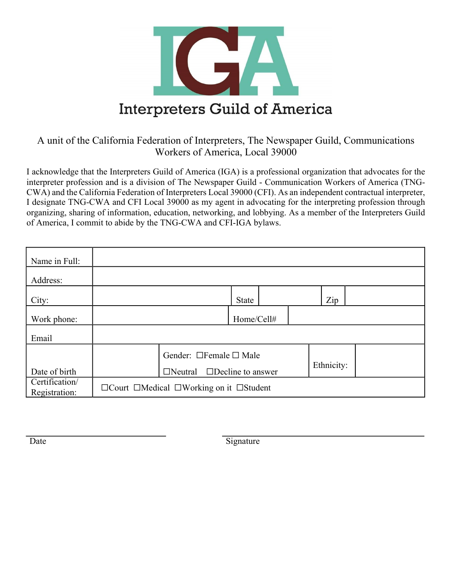

## A unit of the California Federation of Interpreters, The Newspaper Guild, Communications Workers of America, Local 39000

I acknowledge that the Interpreters Guild of America (IGA) is a professional organization that advocates for the interpreter profession and is a division of The Newspaper Guild - Communication Workers of America (TNG-CWA) and the California Federation of Interpreters Local 39000 (CFI). As an independent contractual interpreter, I designate TNG-CWA and CFI Local 39000 as my agent in advocating for the interpreting profession through organizing, sharing of information, education, networking, and lobbying. As a member of the Interpreters Guild of America, I commit to abide by the TNG-CWA and CFI-IGA bylaws.

| Name in Full:                   |                                                                 |                                         |  |              |            |  |     |  |
|---------------------------------|-----------------------------------------------------------------|-----------------------------------------|--|--------------|------------|--|-----|--|
| Address:                        |                                                                 |                                         |  |              |            |  |     |  |
| City:                           |                                                                 |                                         |  | <b>State</b> |            |  | Zip |  |
| Work phone:                     |                                                                 |                                         |  | Home/Cell#   |            |  |     |  |
| Email                           |                                                                 |                                         |  |              |            |  |     |  |
|                                 |                                                                 | Gender: □Female □ Male                  |  |              |            |  |     |  |
| Date of birth                   |                                                                 | $\Box$ Neutral $\Box$ Decline to answer |  |              | Ethnicity: |  |     |  |
| Certification/<br>Registration: | $\Box$ Court $\Box$ Medical $\Box$ Working on it $\Box$ Student |                                         |  |              |            |  |     |  |

Date Signature